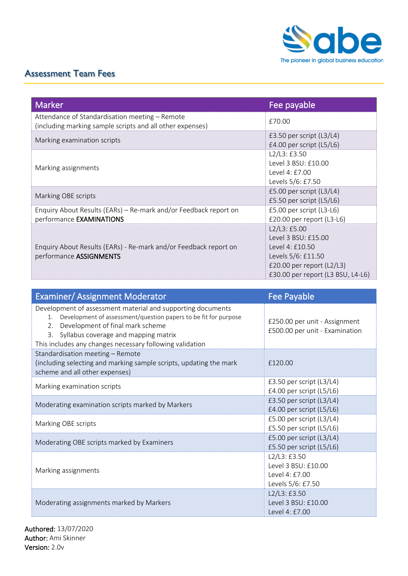

## Assessment Team Fees

| <b>Marker</b>                                                                                               | Fee payable                                                                                                                                     |
|-------------------------------------------------------------------------------------------------------------|-------------------------------------------------------------------------------------------------------------------------------------------------|
| Attendance of Standardisation meeting – Remote<br>(including marking sample scripts and all other expenses) | £70.00                                                                                                                                          |
| Marking examination scripts                                                                                 | £3.50 per script $(L3/L4)$<br>£4.00 per script $(L5/L6)$                                                                                        |
| Marking assignments                                                                                         | L2/L3: E3.50<br>Level 3 BSU: £10.00<br>Level 4: £7.00<br>Levels 5/6: £7.50                                                                      |
| Marking OBE scripts                                                                                         | £5.00 per script (L3/L4)<br>£5.50 per script (L5/L6)                                                                                            |
| Enquiry About Results (EARs) – Re-mark and/or Feedback report on<br>performance EXAMINATIONS                | £5.00 per script (L3-L6)<br>£20.00 per report (L3-L6)                                                                                           |
| Enquiry About Results (EARs) - Re-mark and/or Feedback report on<br>performance ASSIGNMENTS                 | L2/L3:£5.00<br>Level 3 BSU: £15.00<br>Level 4: £10.50<br>Levels 5/6: £11.50<br>£20.00 per report $(L2/L3)$<br>£30.00 per report (L3 BSU, L4-L6) |

| <b>Examiner/ Assignment Moderator</b>                                                                                                                                                                                                                                                 | <b>Fee Payable</b>                                                        |
|---------------------------------------------------------------------------------------------------------------------------------------------------------------------------------------------------------------------------------------------------------------------------------------|---------------------------------------------------------------------------|
| Development of assessment material and supporting documents<br>Development of assessment/question papers to be fit for purpose<br>1.<br>Development of final mark scheme<br>2.<br>3. Syllabus coverage and mapping matrix<br>This includes any changes necessary following validation | £250.00 per unit - Assignment<br>£500.00 per unit - Examination           |
| Standardisation meeting - Remote<br>(including selecting and marking sample scripts, updating the mark<br>scheme and all other expenses)                                                                                                                                              | £120.00                                                                   |
| Marking examination scripts                                                                                                                                                                                                                                                           | £3.50 per script (L3/L4)<br>£4.00 per script (L5/L6)                      |
| Moderating examination scripts marked by Markers                                                                                                                                                                                                                                      | £3.50 per script (L3/L4)<br>£4.00 per script (L5/L6)                      |
| Marking OBE scripts                                                                                                                                                                                                                                                                   | £5.00 per script (L3/L4)<br>£5.50 per script (L5/L6)                      |
| Moderating OBE scripts marked by Examiners                                                                                                                                                                                                                                            | £5.00 per script (L3/L4)<br>£5.50 per script (L5/L6)                      |
| Marking assignments                                                                                                                                                                                                                                                                   | L2/L3:£3.50<br>Level 3 BSU: £10.00<br>Level 4: £7.00<br>Levels 5/6: £7.50 |
| Moderating assignments marked by Markers                                                                                                                                                                                                                                              | L2/L3: £3.50<br>Level 3 BSU: £10.00<br>Level 4: £7.00                     |